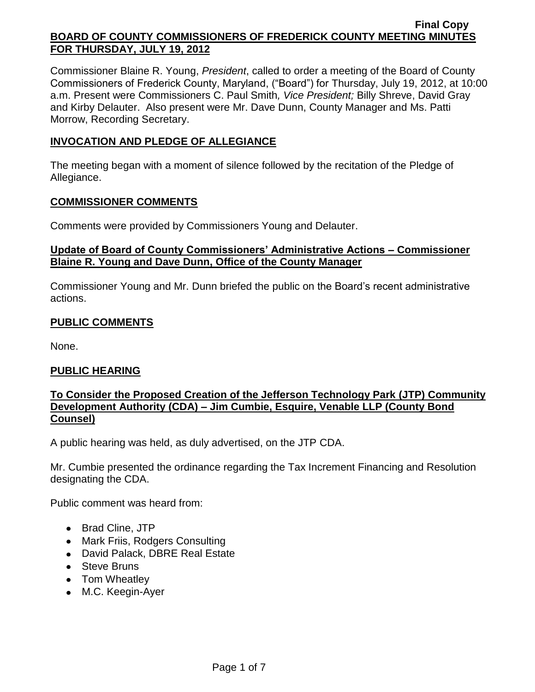Commissioner Blaine R. Young, *President*, called to order a meeting of the Board of County Commissioners of Frederick County, Maryland, ("Board") for Thursday, July 19, 2012, at 10:00 a.m. Present were Commissioners C. Paul Smith*, Vice President;* Billy Shreve, David Gray and Kirby Delauter. Also present were Mr. Dave Dunn, County Manager and Ms. Patti Morrow, Recording Secretary.

# **INVOCATION AND PLEDGE OF ALLEGIANCE**

The meeting began with a moment of silence followed by the recitation of the Pledge of Allegiance.

# **COMMISSIONER COMMENTS**

Comments were provided by Commissioners Young and Delauter.

# **Update of Board of County Commissioners' Administrative Actions – Commissioner Blaine R. Young and Dave Dunn, Office of the County Manager**

Commissioner Young and Mr. Dunn briefed the public on the Board's recent administrative actions.

# **PUBLIC COMMENTS**

None.

# **PUBLIC HEARING**

# **To Consider the Proposed Creation of the Jefferson Technology Park (JTP) Community Development Authority (CDA) – Jim Cumbie, Esquire, Venable LLP (County Bond Counsel)**

A public hearing was held, as duly advertised, on the JTP CDA.

Mr. Cumbie presented the ordinance regarding the Tax Increment Financing and Resolution designating the CDA.

Public comment was heard from:

- Brad Cline, JTP
- Mark Friis, Rodgers Consulting
- David Palack, DBRE Real Estate
- Steve Bruns
- Tom Wheatley
- M.C. Keegin-Ayer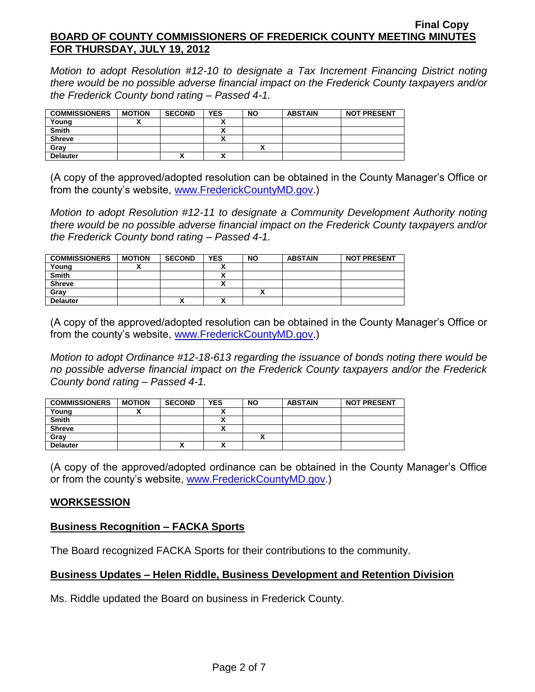*Motion to adopt Resolution #12-10 to designate a Tax Increment Financing District noting there would be no possible adverse financial impact on the Frederick County taxpayers and/or the Frederick County bond rating – Passed 4-1.*

| <b>COMMISSIONERS</b> | <b>MOTION</b> | <b>SECOND</b> | <b>YES</b> | <b>NO</b> | <b>ABSTAIN</b> | <b>NOT PRESENT</b> |
|----------------------|---------------|---------------|------------|-----------|----------------|--------------------|
| Young                |               |               |            |           |                |                    |
| <b>Smith</b>         |               |               |            |           |                |                    |
| <b>Shreve</b>        |               |               |            |           |                |                    |
| Grav                 |               |               |            |           |                |                    |
| <b>Delauter</b>      |               | "             |            |           |                |                    |

(A copy of the approved/adopted resolution can be obtained in the County Manager's Office or from the county's website, [www.FrederickCountyMD.gov.](http://www.frederickcountymd.gov/))

*Motion to adopt Resolution #12-11 to designate a Community Development Authority noting there would be no possible adverse financial impact on the Frederick County taxpayers and/or the Frederick County bond rating – Passed 4-1.*

| <b>COMMISSIONERS</b> | <b>MOTION</b> | <b>SECOND</b> | <b>YES</b>           | <b>NO</b> | <b>ABSTAIN</b> | <b>NOT PRESENT</b> |
|----------------------|---------------|---------------|----------------------|-----------|----------------|--------------------|
| Young                |               |               |                      |           |                |                    |
| <b>Smith</b>         |               |               |                      |           |                |                    |
| <b>Shreve</b>        |               |               |                      |           |                |                    |
| Grav                 |               |               |                      |           |                |                    |
| <b>Delauter</b>      |               | Λ             | $\ddot{\phantom{1}}$ |           |                |                    |

(A copy of the approved/adopted resolution can be obtained in the County Manager's Office or from the county's website, [www.FrederickCountyMD.gov.](http://www.frederickcountymd.gov/))

*Motion to adopt Ordinance #12-18-613 regarding the issuance of bonds noting there would be no possible adverse financial impact on the Frederick County taxpayers and/or the Frederick County bond rating – Passed 4-1.*

| <b>COMMISSIONERS</b> | <b>MOTION</b> | <b>SECOND</b> | <b>YES</b>                | <b>NO</b> | <b>ABSTAIN</b> | <b>NOT PRESENT</b> |
|----------------------|---------------|---------------|---------------------------|-----------|----------------|--------------------|
| Young                |               |               |                           |           |                |                    |
| <b>Smith</b>         |               |               | Δ                         |           |                |                    |
| <b>Shreve</b>        |               |               | ^                         |           |                |                    |
| Gray                 |               |               |                           | ~         |                |                    |
| <b>Delauter</b>      |               | $\mathbf{v}$  | $\ddot{\phantom{1}}$<br>^ |           |                |                    |

(A copy of the approved/adopted ordinance can be obtained in the County Manager's Office or from the county's website, [www.FrederickCountyMD.gov.](http://www.frederickcountymd.gov/))

# **WORKSESSION**

# **Business Recognition – FACKA Sports**

The Board recognized FACKA Sports for their contributions to the community.

# **Business Updates – Helen Riddle, Business Development and Retention Division**

Ms. Riddle updated the Board on business in Frederick County.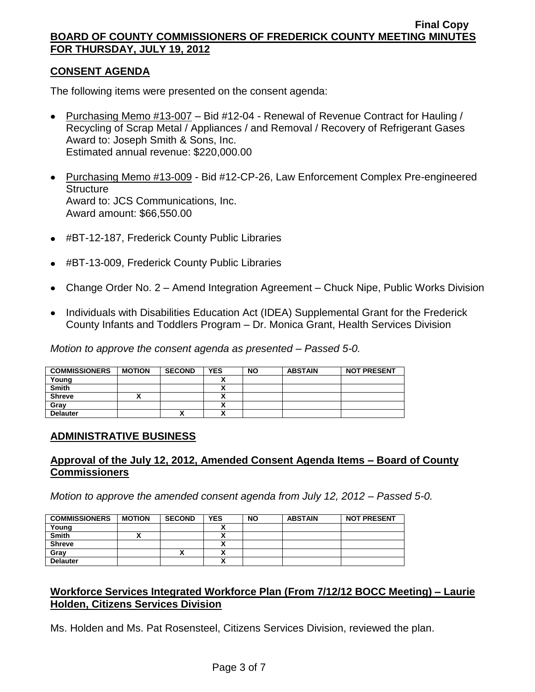# **CONSENT AGENDA**

The following items were presented on the consent agenda:

- Purchasing Memo #13-007 Bid #12-04 Renewal of Revenue Contract for Hauling / Recycling of Scrap Metal / Appliances / and Removal / Recovery of Refrigerant Gases Award to: Joseph Smith & Sons, Inc. Estimated annual revenue: \$220,000.00
- Purchasing Memo #13-009 Bid #12-CP-26, Law Enforcement Complex Pre-engineered **Structure** Award to: JCS Communications, Inc. Award amount: \$66,550.00
- #BT-12-187, Frederick County Public Libraries
- #BT-13-009, Frederick County Public Libraries
- Change Order No. 2 Amend Integration Agreement Chuck Nipe, Public Works Division
- Individuals with Disabilities Education Act (IDEA) Supplemental Grant for the Frederick County Infants and Toddlers Program – Dr. Monica Grant, Health Services Division

*Motion to approve the consent agenda as presented – Passed 5-0.*

| <b>COMMISSIONERS</b> | <b>MOTION</b> | <b>SECOND</b> | <b>YES</b>                                         | <b>NO</b> | <b>ABSTAIN</b> | <b>NOT PRESENT</b> |
|----------------------|---------------|---------------|----------------------------------------------------|-----------|----------------|--------------------|
| Young                |               |               | ,,                                                 |           |                |                    |
| <b>Smith</b>         |               |               | ٠.<br>,,                                           |           |                |                    |
| <b>Shreve</b>        |               |               | Λ                                                  |           |                |                    |
| Grav                 |               |               | Δ                                                  |           |                |                    |
| <b>Delauter</b>      |               | $\mathbf{v}$  | $\ddot{\phantom{1}}$<br>$\boldsymbol{\mathcal{L}}$ |           |                |                    |

# **ADMINISTRATIVE BUSINESS**

# **Approval of the July 12, 2012, Amended Consent Agenda Items – Board of County Commissioners**

*Motion to approve the amended consent agenda from July 12, 2012 – Passed 5-0.*

| <b>COMMISSIONERS</b> | <b>MOTION</b> | <b>SECOND</b> | <b>YES</b> | <b>NO</b> | <b>ABSTAIN</b> | <b>NOT PRESENT</b> |
|----------------------|---------------|---------------|------------|-----------|----------------|--------------------|
| Young                |               |               |            |           |                |                    |
| <b>Smith</b>         |               |               | ~          |           |                |                    |
| <b>Shreve</b>        |               |               | Δ          |           |                |                    |
| Gray                 |               |               |            |           |                |                    |
| <b>Delauter</b>      |               |               | ,,,        |           |                |                    |

# **Workforce Services Integrated Workforce Plan (From 7/12/12 BOCC Meeting) – Laurie Holden, Citizens Services Division**

Ms. Holden and Ms. Pat Rosensteel, Citizens Services Division, reviewed the plan.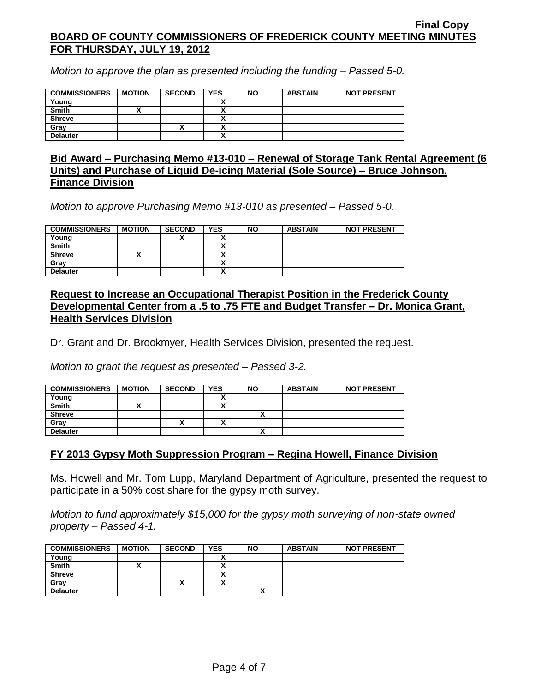*Motion to approve the plan as presented including the funding – Passed 5-0.*

| <b>COMMISSIONERS</b> | <b>MOTION</b> | <b>SECOND</b> | <b>YES</b> | <b>NO</b> | <b>ABSTAIN</b> | <b>NOT PRESENT</b> |
|----------------------|---------------|---------------|------------|-----------|----------------|--------------------|
| Young                |               |               |            |           |                |                    |
| <b>Smith</b>         |               |               |            |           |                |                    |
| <b>Shreve</b>        |               |               |            |           |                |                    |
| Grav                 |               | Δ             |            |           |                |                    |
| <b>Delauter</b>      |               |               |            |           |                |                    |

### **Bid Award – Purchasing Memo #13-010 – Renewal of Storage Tank Rental Agreement (6 Units) and Purchase of Liquid De-icing Material (Sole Source) – Bruce Johnson, Finance Division**

*Motion to approve Purchasing Memo #13-010 as presented – Passed 5-0.*

| <b>COMMISSIONERS</b> | <b>MOTION</b> | <b>SECOND</b> | <b>YES</b> | <b>NO</b> | <b>ABSTAIN</b> | <b>NOT PRESENT</b> |
|----------------------|---------------|---------------|------------|-----------|----------------|--------------------|
| Young                |               |               | `          |           |                |                    |
| <b>Smith</b>         |               |               |            |           |                |                    |
| <b>Shreve</b>        |               |               | ^          |           |                |                    |
| Grav                 |               |               |            |           |                |                    |
| <b>Delauter</b>      |               |               |            |           |                |                    |

### **Request to Increase an Occupational Therapist Position in the Frederick County Developmental Center from a .5 to .75 FTE and Budget Transfer – Dr. Monica Grant, Health Services Division**

Dr. Grant and Dr. Brookmyer, Health Services Division, presented the request.

*Motion to grant the request as presented – Passed 3-2.*

| <b>COMMISSIONERS</b> | <b>MOTION</b> | <b>SECOND</b> | <b>YES</b> | <b>NO</b> | <b>ABSTAIN</b> | <b>NOT PRESENT</b> |
|----------------------|---------------|---------------|------------|-----------|----------------|--------------------|
| Young                |               |               |            |           |                |                    |
| <b>Smith</b>         |               |               |            |           |                |                    |
| <b>Shreve</b>        |               |               |            |           |                |                    |
| Gray                 |               | Λ             |            |           |                |                    |
| <b>Delauter</b>      |               |               |            | ,,        |                |                    |

# **FY 2013 Gypsy Moth Suppression Program – Regina Howell, Finance Division**

Ms. Howell and Mr. Tom Lupp, Maryland Department of Agriculture, presented the request to participate in a 50% cost share for the gypsy moth survey.

*Motion to fund approximately \$15,000 for the gypsy moth surveying of non-state owned property – Passed 4-1.*

| <b>COMMISSIONERS</b> | <b>MOTION</b> | <b>SECOND</b> | <b>YES</b>               | <b>NO</b> | <b>ABSTAIN</b> | <b>NOT PRESENT</b> |
|----------------------|---------------|---------------|--------------------------|-----------|----------------|--------------------|
| Young                |               |               |                          |           |                |                    |
| <b>Smith</b>         |               |               | ^                        |           |                |                    |
| <b>Shreve</b>        |               |               | Λ                        |           |                |                    |
| Gray                 |               |               | $\overline{\phantom{a}}$ |           |                |                    |
| <b>Delauter</b>      |               |               |                          |           |                |                    |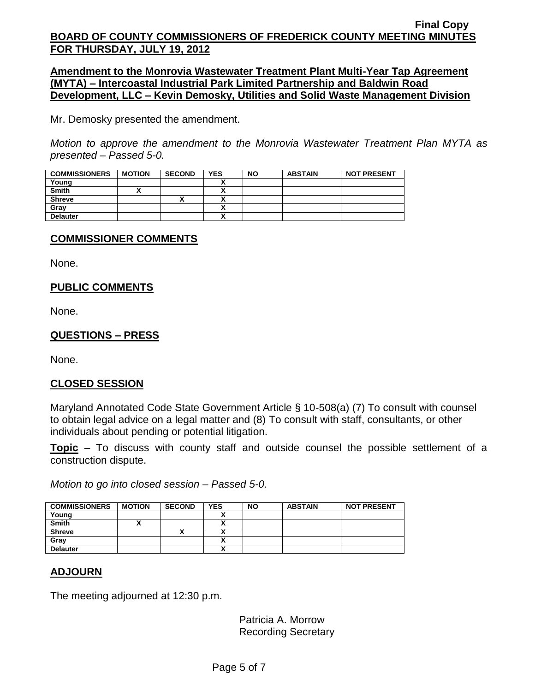**Amendment to the Monrovia Wastewater Treatment Plant Multi-Year Tap Agreement (MYTA) – Intercoastal Industrial Park Limited Partnership and Baldwin Road Development, LLC – Kevin Demosky, Utilities and Solid Waste Management Division**

Mr. Demosky presented the amendment.

*Motion to approve the amendment to the Monrovia Wastewater Treatment Plan MYTA as presented – Passed 5-0.*

| <b>COMMISSIONERS</b> | <b>MOTION</b> | <b>SECOND</b> | <b>YES</b> | <b>NO</b> | <b>ABSTAIN</b> | <b>NOT PRESENT</b> |
|----------------------|---------------|---------------|------------|-----------|----------------|--------------------|
| Young                |               |               |            |           |                |                    |
| <b>Smith</b>         |               |               |            |           |                |                    |
| <b>Shreve</b>        |               | ^             | n          |           |                |                    |
| Gray                 |               |               | ~          |           |                |                    |
| <b>Delauter</b>      |               |               | ~          |           |                |                    |

# **COMMISSIONER COMMENTS**

None.

# **PUBLIC COMMENTS**

None.

# **QUESTIONS – PRESS**

None.

# **CLOSED SESSION**

Maryland Annotated Code State Government Article § 10-508(a) (7) To consult with counsel to obtain legal advice on a legal matter and (8) To consult with staff, consultants, or other individuals about pending or potential litigation.

**Topic** – To discuss with county staff and outside counsel the possible settlement of a construction dispute.

*Motion to go into closed session – Passed 5-0.*

| <b>COMMISSIONERS</b> | <b>MOTION</b> | <b>SECOND</b> | <b>YES</b> | <b>NO</b> | <b>ABSTAIN</b> | <b>NOT PRESENT</b> |
|----------------------|---------------|---------------|------------|-----------|----------------|--------------------|
| Young                |               |               |            |           |                |                    |
| <b>Smith</b>         |               |               |            |           |                |                    |
| <b>Shreve</b>        |               | ́             |            |           |                |                    |
| Grav                 |               |               |            |           |                |                    |
| <b>Delauter</b>      |               |               |            |           |                |                    |
|                      |               |               |            |           |                |                    |

# **ADJOURN**

The meeting adjourned at 12:30 p.m.

Patricia A. Morrow Recording Secretary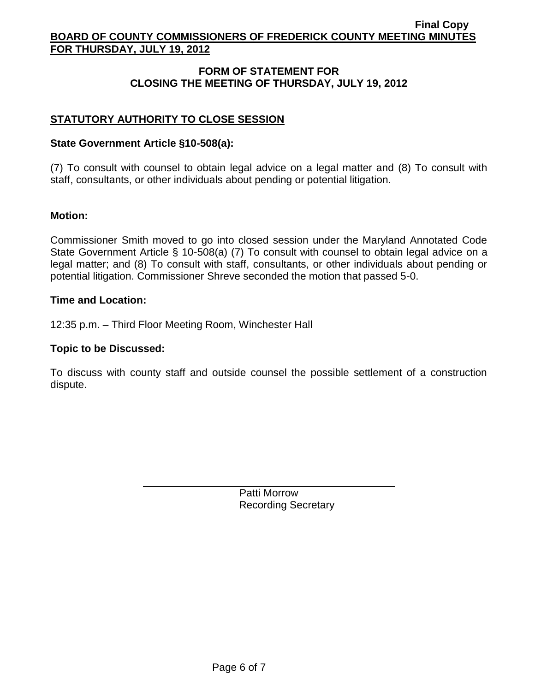# **FORM OF STATEMENT FOR CLOSING THE MEETING OF THURSDAY, JULY 19, 2012**

# **STATUTORY AUTHORITY TO CLOSE SESSION**

### **State Government Article §10-508(a):**

(7) To consult with counsel to obtain legal advice on a legal matter and (8) To consult with staff, consultants, or other individuals about pending or potential litigation.

# **Motion:**

Commissioner Smith moved to go into closed session under the Maryland Annotated Code State Government Article § 10-508(a) (7) To consult with counsel to obtain legal advice on a legal matter; and (8) To consult with staff, consultants, or other individuals about pending or potential litigation. Commissioner Shreve seconded the motion that passed 5-0.

### **Time and Location:**

12:35 p.m. – Third Floor Meeting Room, Winchester Hall

### **Topic to be Discussed:**

To discuss with county staff and outside counsel the possible settlement of a construction dispute.

> Patti Morrow Recording Secretary